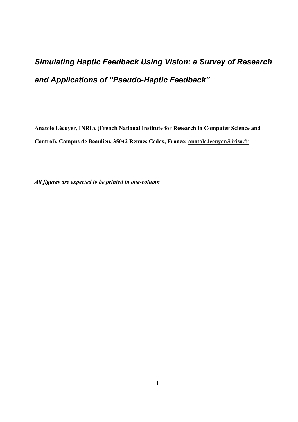# *Simulating Haptic Feedback Using Vision: a Survey of Research and Applications of "Pseudo-Haptic Feedback"*

**Anatole Lécuyer, INRIA (French National Institute for Research in Computer Science and Control), Campus de Beaulieu, 35042 Rennes Cedex, France; anatole.lecuyer@irisa.fr** 

*All figures are expected to be printed in one-column*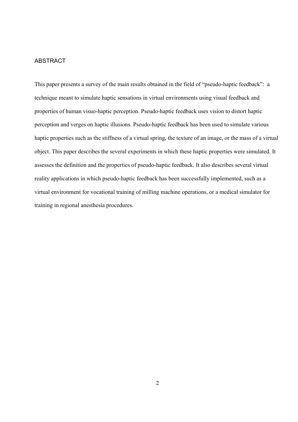## ABSTRACT

This paper presents a survey of the main results obtained in the field of "pseudo-haptic feedback": a technique meant to simulate haptic sensations in virtual environments using visual feedback and properties of human visuo-haptic perception. Pseudo-haptic feedback uses vision to distort haptic perception and verges on haptic illusions. Pseudo-haptic feedback has been used to simulate various haptic properties such as the stiffness of a virtual spring, the texture of an image, or the mass of a virtual object. This paper describes the several experiments in which these haptic properties were simulated. It assesses the definition and the properties of pseudo-haptic feedback. It also describes several virtual reality applications in which pseudo-haptic feedback has been successfully implemented, such as a virtual environment for vocational training of milling machine operations, or a medical simulator for training in regional anesthesia procedures.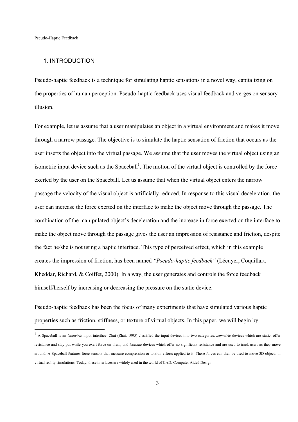#### 1. INTRODUCTION

Pseudo-haptic feedback is a technique for simulating haptic sensations in a novel way, capitalizing on the properties of human perception. Pseudo-haptic feedback uses visual feedback and verges on sensory illusion.

For example, let us assume that a user manipulates an object in a virtual environment and makes it move through a narrow passage. The objective is to simulate the haptic sensation of friction that occurs as the user inserts the object into the virtual passage. We assume that the user moves the virtual object using an isometric input device such as the Spaceball<sup>1</sup>. The motion of the virtual object is controlled by the force exerted by the user on the Spaceball. Let us assume that when the virtual object enters the narrow passage the velocity of the visual object is artificially reduced. In response to this visual deceleration, the user can increase the force exerted on the interface to make the object move through the passage. The combination of the manipulated object's deceleration and the increase in force exerted on the interface to make the object move through the passage gives the user an impression of resistance and friction, despite the fact he/she is not using a haptic interface. This type of perceived effect, which in this example creates the impression of friction, has been named *"Pseudo-haptic feedback"* (Lécuyer, Coquillart, Kheddar, Richard, & Coiffet, 2000). In a way, the user generates and controls the force feedback himself/herself by increasing or decreasing the pressure on the static device.

Pseudo-haptic feedback has been the focus of many experiments that have simulated various haptic properties such as friction, stiffness, or texture of virtual objects. In this paper, we will begin by

<sup>&</sup>lt;sup>1</sup> A Spaceball is an *isometric* input interface. Zhai (Zhai, 1995) classified the input devices into two categories: *isometric* devices which are static, offer resistance and stay put while you exert force on them; and *isotonic* devices which offer no significant resistance and are used to track users as they move around. A Spaceball features force sensors that measure compression or torsion efforts applied to it. These forces can then be used to move 3D objects in virtual reality simulations. Today, these interfaces are widely used in the world of CAD: Computer Aided Design.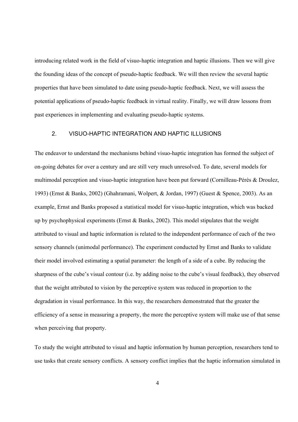introducing related work in the field of visuo-haptic integration and haptic illusions. Then we will give the founding ideas of the concept of pseudo-haptic feedback. We will then review the several haptic properties that have been simulated to date using pseudo-haptic feedback. Next, we will assess the potential applications of pseudo-haptic feedback in virtual reality. Finally, we will draw lessons from past experiences in implementing and evaluating pseudo-haptic systems.

#### 2. VISUO-HAPTIC INTEGRATION AND HAPTIC ILLUSIONS

The endeavor to understand the mechanisms behind visuo-haptic integration has formed the subject of on-going debates for over a century and are still very much unresolved. To date, several models for multimodal perception and visuo-haptic integration have been put forward (Cornilleau-Pérès & Droulez, 1993) (Ernst & Banks, 2002) (Ghahramani, Wolpert, & Jordan, 1997) (Guest & Spence, 2003). As an example, Ernst and Banks proposed a statistical model for visuo-haptic integration, which was backed up by psychophysical experiments (Ernst & Banks, 2002). This model stipulates that the weight attributed to visual and haptic information is related to the independent performance of each of the two sensory channels (unimodal performance). The experiment conducted by Ernst and Banks to validate their model involved estimating a spatial parameter: the length of a side of a cube. By reducing the sharpness of the cube's visual contour (i.e. by adding noise to the cube's visual feedback), they observed that the weight attributed to vision by the perceptive system was reduced in proportion to the degradation in visual performance. In this way, the researchers demonstrated that the greater the efficiency of a sense in measuring a property, the more the perceptive system will make use of that sense when perceiving that property.

To study the weight attributed to visual and haptic information by human perception, researchers tend to use tasks that create sensory conflicts. A sensory conflict implies that the haptic information simulated in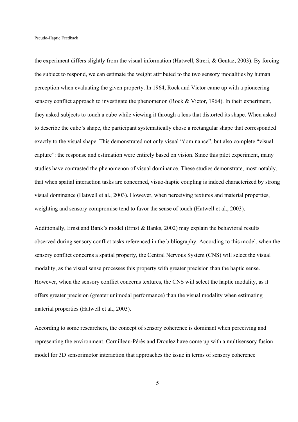the experiment differs slightly from the visual information (Hatwell, Streri, & Gentaz, 2003). By forcing the subject to respond, we can estimate the weight attributed to the two sensory modalities by human perception when evaluating the given property. In 1964, Rock and Victor came up with a pioneering sensory conflict approach to investigate the phenomenon (Rock & Victor, 1964). In their experiment, they asked subjects to touch a cube while viewing it through a lens that distorted its shape. When asked to describe the cube's shape, the participant systematically chose a rectangular shape that corresponded exactly to the visual shape. This demonstrated not only visual "dominance", but also complete "visual capture": the response and estimation were entirely based on vision. Since this pilot experiment, many studies have contrasted the phenomenon of visual dominance. These studies demonstrate, most notably, that when spatial interaction tasks are concerned, visuo-haptic coupling is indeed characterized by strong visual dominance (Hatwell et al., 2003). However, when perceiving textures and material properties, weighting and sensory compromise tend to favor the sense of touch (Hatwell et al., 2003).

Additionally, Ernst and Bank's model (Ernst & Banks, 2002) may explain the behavioral results observed during sensory conflict tasks referenced in the bibliography. According to this model, when the sensory conflict concerns a spatial property, the Central Nervous System (CNS) will select the visual modality, as the visual sense processes this property with greater precision than the haptic sense. However, when the sensory conflict concerns textures, the CNS will select the haptic modality, as it offers greater precision (greater unimodal performance) than the visual modality when estimating material properties (Hatwell et al., 2003).

According to some researchers, the concept of sensory coherence is dominant when perceiving and representing the environment. Cornilleau-Pérès and Droulez have come up with a multisensory fusion model for 3D sensorimotor interaction that approaches the issue in terms of sensory coherence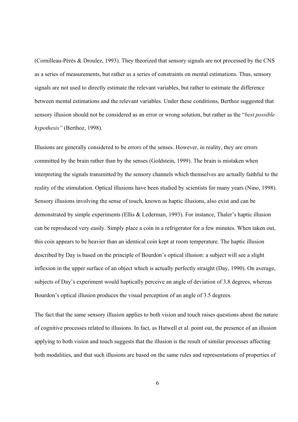(Cornilleau-Pérès & Droulez, 1993). They theorized that sensory signals are not processed by the CNS as a series of measurements, but rather as a series of constraints on mental estimations. Thus, sensory signals are not used to directly estimate the relevant variables, but rather to estimate the difference between mental estimations and the relevant variables. Under these conditions, Berthoz suggested that sensory illusion should not be considered as an error or wrong solution, but rather as the "*best possible hypothesis"* (Berthoz, 1998).

Illusions are generally considered to be errors of the senses. However, in reality, they are errors committed by the brain rather than by the senses (Goldstein, 1999). The brain is mistaken when interpreting the signals transmitted by the sensory channels which themselves are actually faithful to the reality of the stimulation. Optical illusions have been studied by scientists for many years (Nino, 1998). Sensory illusions involving the sense of touch, known as haptic illusions, also exist and can be demonstrated by simple experiments (Ellis & Lederman, 1993). For instance, Thaler's haptic illusion can be reproduced very easily. Simply place a coin in a refrigerator for a few minutes. When taken out, this coin appears to be heavier than an identical coin kept at room temperature. The haptic illusion described by Day is based on the principle of Bourdon's optical illusion: a subject will see a slight inflexion in the upper surface of an object which is actually perfectly straight (Day, 1990). On average, subjects of Day's experiment would haptically perceive an angle of deviation of 3.8 degrees, whereas Bourdon's optical illusion produces the visual perception of an angle of 3.5 degrees.

The fact that the same sensory illusion applies to both vision and touch raises questions about the nature of cognitive processes related to illusions. In fact, as Hatwell et al. point out, the presence of an illusion applying to both vision and touch suggests that the illusion is the result of similar processes affecting both modalities, and that such illusions are based on the same rules and representations of properties of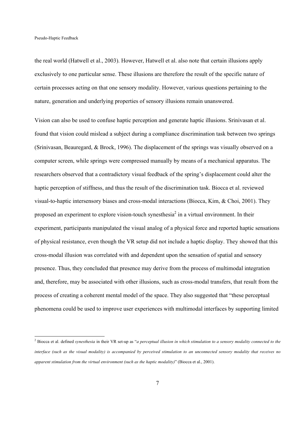the real world (Hatwell et al., 2003). However, Hatwell et al. also note that certain illusions apply exclusively to one particular sense. These illusions are therefore the result of the specific nature of certain processes acting on that one sensory modality. However, various questions pertaining to the nature, generation and underlying properties of sensory illusions remain unanswered.

Vision can also be used to confuse haptic perception and generate haptic illusions. Srinivasan et al. found that vision could mislead a subject during a compliance discrimination task between two springs (Srinivasan, Beauregard, & Brock, 1996). The displacement of the springs was visually observed on a computer screen, while springs were compressed manually by means of a mechanical apparatus. The researchers observed that a contradictory visual feedback of the spring's displacement could alter the haptic perception of stiffness, and thus the result of the discrimination task. Biocca et al. reviewed visual-to-haptic intersensory biases and cross-modal interactions (Biocca, Kim, & Choi, 2001). They proposed an experiment to explore vision-touch synesthesia<sup>2</sup> in a virtual environment. In their experiment, participants manipulated the visual analog of a physical force and reported haptic sensations of physical resistance, even though the VR setup did not include a haptic display. They showed that this cross-modal illusion was correlated with and dependent upon the sensation of spatial and sensory presence. Thus, they concluded that presence may derive from the process of multimodal integration and, therefore, may be associated with other illusions, such as cross-modal transfers, that result from the process of creating a coherent mental model of the space. They also suggested that "these perceptual phenomena could be used to improve user experiences with multimodal interfaces by supporting limited

<sup>2</sup> Biocca et al. defined *synesthesia* in their VR set-up as "*a perceptual illusion in which stimulation to a sensory modality connected to the interface (such as the visual modality) is accompanied by perceived stimulation to an unconnected sensory modality that receives no apparent stimulation from the virtual environment (such as the haptic modality)*" (Biocca et al., 2001).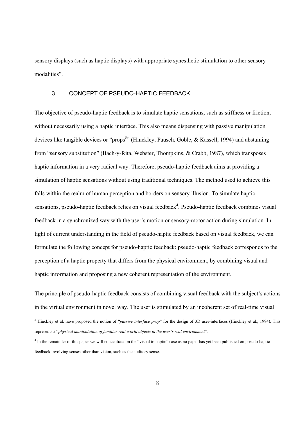sensory displays (such as haptic displays) with appropriate synesthetic stimulation to other sensory modalities".

## 3. CONCEPT OF PSEUDO-HAPTIC FEEDBACK

The objective of pseudo-haptic feedback is to simulate haptic sensations, such as stiffness or friction, without necessarily using a haptic interface. This also means dispensing with passive manipulation devices like tangible devices or "props<sup>3</sup>" (Hinckley, Pausch, Goble, & Kassell, 1994) and abstaining from "sensory substitution" (Bach-y-Rita, Webster, Thompkins, & Crabb, 1987), which transposes haptic information in a very radical way. Therefore, pseudo-haptic feedback aims at providing a simulation of haptic sensations without using traditional techniques. The method used to achieve this falls within the realm of human perception and borders on sensory illusion. To simulate haptic sensations, pseudo-haptic feedback relies on visual feedback<sup>4</sup>. Pseudo-haptic feedback combines visual feedback in a synchronized way with the user's motion or sensory-motor action during simulation. In light of current understanding in the field of pseudo-haptic feedback based on visual feedback, we can formulate the following concept for pseudo-haptic feedback: pseudo-haptic feedback corresponds to the perception of a haptic property that differs from the physical environment, by combining visual and haptic information and proposing a new coherent representation of the environment.

The principle of pseudo-haptic feedback consists of combining visual feedback with the subject's actions in the virtual environment in novel way. The user is stimulated by an incoherent set of real-time visual

<sup>&</sup>lt;sup>3</sup> Hinckley et al. have proposed the notion of "*passive interface prop*" for the design of 3D user-interfaces (Hinckley et al., 1994). This represents a "*physical manipulation of familiar real-world objects in the user's real environment*".

<sup>&</sup>lt;sup>4</sup> In the remainder of this paper we will concentrate on the "visual to haptic" case as no paper has yet been published on pseudo-haptic feedback involving senses other than vision, such as the auditory sense.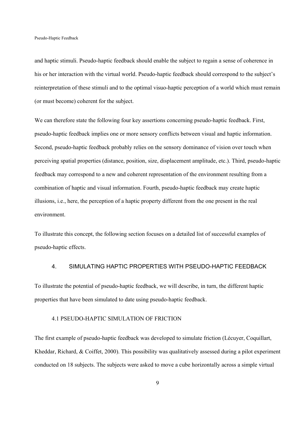and haptic stimuli. Pseudo-haptic feedback should enable the subject to regain a sense of coherence in his or her interaction with the virtual world. Pseudo-haptic feedback should correspond to the subject's reinterpretation of these stimuli and to the optimal visuo-haptic perception of a world which must remain (or must become) coherent for the subject.

We can therefore state the following four key assertions concerning pseudo-haptic feedback. First, pseudo-haptic feedback implies one or more sensory conflicts between visual and haptic information. Second, pseudo-haptic feedback probably relies on the sensory dominance of vision over touch when perceiving spatial properties (distance, position, size, displacement amplitude, etc.). Third, pseudo-haptic feedback may correspond to a new and coherent representation of the environment resulting from a combination of haptic and visual information. Fourth, pseudo-haptic feedback may create haptic illusions, i.e., here, the perception of a haptic property different from the one present in the real environment.

To illustrate this concept, the following section focuses on a detailed list of successful examples of pseudo-haptic effects.

## 4. SIMULATING HAPTIC PROPERTIES WITH PSEUDO-HAPTIC FEEDBACK

To illustrate the potential of pseudo-haptic feedback, we will describe, in turn, the different haptic properties that have been simulated to date using pseudo-haptic feedback.

#### 4.1 PSEUDO-HAPTIC SIMULATION OF FRICTION

The first example of pseudo-haptic feedback was developed to simulate friction (Lécuyer, Coquillart, Kheddar, Richard, & Coiffet, 2000). This possibility was qualitatively assessed during a pilot experiment conducted on 18 subjects. The subjects were asked to move a cube horizontally across a simple virtual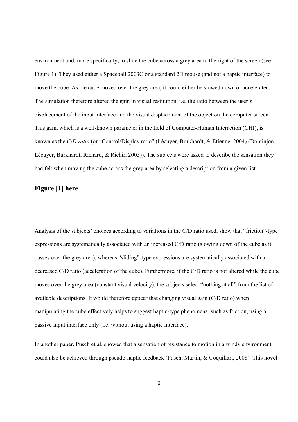environment and, more specifically, to slide the cube across a grey area to the right of the screen (see Figure 1). They used either a Spaceball 2003C or a standard 2D mouse (and not a haptic interface) to move the cube. As the cube moved over the grey area, it could either be slowed down or accelerated. The simulation therefore altered the gain in visual restitution, i.e. the ratio between the user's displacement of the input interface and the visual displacement of the object on the computer screen. This gain, which is a well-known parameter in the field of Computer-Human Interaction (CHI), is known as the *C/D ratio* (or "Control/Display ratio" (Lécuyer, Burkhardt, & Etienne, 2004) (Dominjon, Lécuyer, Burkhardt, Richard, & Richir, 2005)). The subjects were asked to describe the sensation they had felt when moving the cube across the grey area by selecting a description from a given list.

## **Figure [1] here**

Analysis of the subjects' choices according to variations in the C/D ratio used, show that "friction"-type expressions are systematically associated with an increased C/D ratio (slowing down of the cube as it passes over the grey area), whereas "sliding"-type expressions are systematically associated with a decreased C/D ratio (acceleration of the cube). Furthermore, if the C/D ratio is not altered while the cube moves over the grey area (constant visual velocity), the subjects select "nothing at all" from the list of available descriptions. It would therefore appear that changing visual gain (C/D ratio) when manipulating the cube effectively helps to suggest haptic-type phenomena, such as friction, using a passive input interface only (i.e. without using a haptic interface).

In another paper, Pusch et al. showed that a sensation of resistance to motion in a windy environment could also be achieved through pseudo-haptic feedback (Pusch, Martin, & Coquillart, 2008). This novel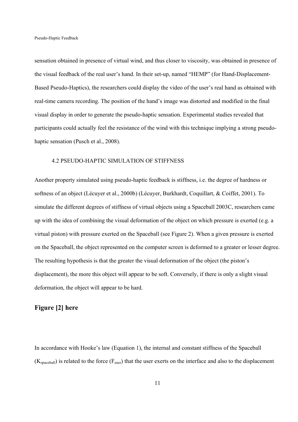sensation obtained in presence of virtual wind, and thus closer to viscosity, was obtained in presence of the visual feedback of the real user's hand. In their set-up, named "HEMP" (for Hand-Displacement-Based Pseudo-Haptics), the researchers could display the video of the user's real hand as obtained with real-time camera recording. The position of the hand's image was distorted and modified in the final visual display in order to generate the pseudo-haptic sensation. Experimental studies revealed that participants could actually feel the resistance of the wind with this technique implying a strong pseudohaptic sensation (Pusch et al., 2008).

#### 4.2 PSEUDO-HAPTIC SIMULATION OF STIFFNESS

Another property simulated using pseudo-haptic feedback is stiffness, i.e. the degree of hardness or softness of an object (Lécuyer et al., 2000b) (Lécuyer, Burkhardt, Coquillart, & Coiffet, 2001). To simulate the different degrees of stiffness of virtual objects using a Spaceball 2003C, researchers came up with the idea of combining the visual deformation of the object on which pressure is exerted (e.g. a virtual piston) with pressure exerted on the Spaceball (see Figure 2). When a given pressure is exerted on the Spaceball, the object represented on the computer screen is deformed to a greater or lesser degree. The resulting hypothesis is that the greater the visual deformation of the object (the piston's displacement), the more this object will appear to be soft. Conversely, if there is only a slight visual deformation, the object will appear to be hard.

## **Figure [2] here**

In accordance with Hooke's law (Equation 1), the internal and constant stiffness of the Spaceball  $(K_{spaceball})$  is related to the force ( $F_{user}$ ) that the user exerts on the interface and also to the displacement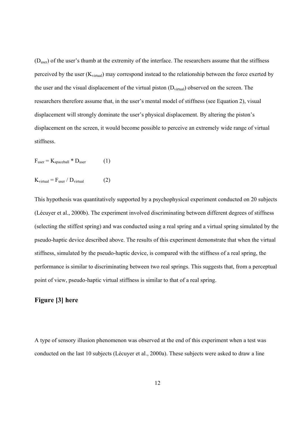$(D<sub>user</sub>)$  of the user's thumb at the extremity of the interface. The researchers assume that the stiffness perceived by the user  $(K_{virtual})$  may correspond instead to the relationship between the force exerted by the user and the visual displacement of the virtual piston  $(D_{virtual})$  observed on the screen. The researchers therefore assume that, in the user's mental model of stiffness (see Equation 2), visual displacement will strongly dominate the user's physical displacement. By altering the piston's displacement on the screen, it would become possible to perceive an extremely wide range of virtual stiffness.

 $F_{user} = K_{spaceball} * D_{user}$  (1)

 $K_{\text{virtual}} = F_{\text{user}} / D_{\text{virtual}}$  (2)

This hypothesis was quantitatively supported by a psychophysical experiment conducted on 20 subjects (Lécuyer et al., 2000b). The experiment involved discriminating between different degrees of stiffness (selecting the stiffest spring) and was conducted using a real spring and a virtual spring simulated by the pseudo-haptic device described above. The results of this experiment demonstrate that when the virtual stiffness, simulated by the pseudo-haptic device, is compared with the stiffness of a real spring, the performance is similar to discriminating between two real springs. This suggests that, from a perceptual point of view, pseudo-haptic virtual stiffness is similar to that of a real spring.

## **Figure [3] here**

A type of sensory illusion phenomenon was observed at the end of this experiment when a test was conducted on the last 10 subjects (Lécuyer et al., 2000a). These subjects were asked to draw a line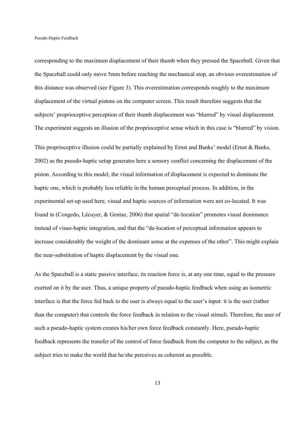corresponding to the maximum displacement of their thumb when they pressed the Spaceball. Given that the Spaceball could only move 5mm before reaching the mechanical stop, an obvious overestimation of this distance was observed (see Figure 3). This overestimation corresponds roughly to the maximum displacement of the virtual pistons on the computer screen. This result therefore suggests that the subjects' proprioceptive perception of their thumb displacement was "blurred" by visual displacement. The experiment suggests an illusion of the proprioceptive sense which in this case is "blurred" by vision.

This proprioceptive illusion could be partially explained by Ernst and Banks' model (Ernst & Banks, 2002) as the pseudo-haptic setup generates here a sensory conflict concerning the displacement of the piston. According to this model, the visual information of displacement is expected to dominate the haptic one, which is probably less reliable in the human perceptual process. In addition, in the experimental set-up used here, visual and haptic sources of information were not co-located. It was found in (Congedo, Lécuyer, & Gentaz, 2006) that spatial "de-location" promotes visual dominance instead of visuo-haptic integration, and that the "de-location of perceptual information appears to increase considerably the weight of the dominant sense at the expenses of the other". This might explain the near-substitution of haptic displacement by the visual one.

As the Spaceball is a static passive interface, its reaction force is, at any one time, equal to the pressure exerted on it by the user. Thus, a unique property of pseudo-haptic feedback when using an isometric interface is that the force fed back to the user is always equal to the user's input: it is the user (rather than the computer) that controls the force feedback in relation to the visual stimuli. Therefore, the user of such a pseudo-haptic system creates his/her own force feedback constantly. Here, pseudo-haptic feedback represents the transfer of the control of force feedback from the computer to the subject, as the subject tries to make the world that he/she perceives as coherent as possible.

13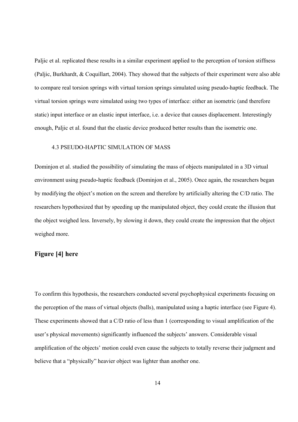Paljic et al. replicated these results in a similar experiment applied to the perception of torsion stiffness (Paljic, Burkhardt, & Coquillart, 2004). They showed that the subjects of their experiment were also able to compare real torsion springs with virtual torsion springs simulated using pseudo-haptic feedback. The virtual torsion springs were simulated using two types of interface: either an isometric (and therefore static) input interface or an elastic input interface, i.e. a device that causes displacement. Interestingly enough, Paljic et al. found that the elastic device produced better results than the isometric one.

## 4.3 PSEUDO-HAPTIC SIMULATION OF MASS

Dominjon et al. studied the possibility of simulating the mass of objects manipulated in a 3D virtual environment using pseudo-haptic feedback (Dominjon et al., 2005). Once again, the researchers began by modifying the object's motion on the screen and therefore by artificially altering the C/D ratio. The researchers hypothesized that by speeding up the manipulated object, they could create the illusion that the object weighed less. Inversely, by slowing it down, they could create the impression that the object weighed more.

## **Figure [4] here**

To confirm this hypothesis, the researchers conducted several psychophysical experiments focusing on the perception of the mass of virtual objects (balls), manipulated using a haptic interface (see Figure 4). These experiments showed that a C/D ratio of less than 1 (corresponding to visual amplification of the user's physical movements) significantly influenced the subjects' answers. Considerable visual amplification of the objects' motion could even cause the subjects to totally reverse their judgment and believe that a "physically" heavier object was lighter than another one.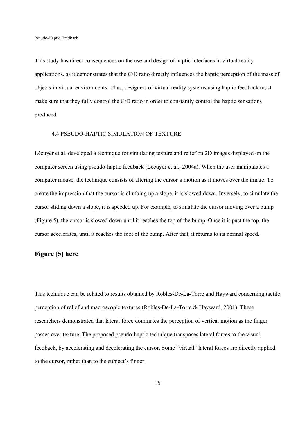This study has direct consequences on the use and design of haptic interfaces in virtual reality applications, as it demonstrates that the C/D ratio directly influences the haptic perception of the mass of objects in virtual environments. Thus, designers of virtual reality systems using haptic feedback must make sure that they fully control the C/D ratio in order to constantly control the haptic sensations produced.

#### 4.4 PSEUDO-HAPTIC SIMULATION OF TEXTURE

Lécuyer et al. developed a technique for simulating texture and relief on 2D images displayed on the computer screen using pseudo-haptic feedback (Lécuyer et al., 2004a). When the user manipulates a computer mouse, the technique consists of altering the cursor's motion as it moves over the image. To create the impression that the cursor is climbing up a slope, it is slowed down. Inversely, to simulate the cursor sliding down a slope, it is speeded up. For example, to simulate the cursor moving over a bump (Figure 5), the cursor is slowed down until it reaches the top of the bump. Once it is past the top, the cursor accelerates, until it reaches the foot of the bump. After that, it returns to its normal speed.

## **Figure [5] here**

This technique can be related to results obtained by Robles-De-La-Torre and Hayward concerning tactile perception of relief and macroscopic textures (Robles-De-La-Torre & Hayward, 2001). These researchers demonstrated that lateral force dominates the perception of vertical motion as the finger passes over texture. The proposed pseudo-haptic technique transposes lateral forces to the visual feedback, by accelerating and decelerating the cursor. Some "virtual" lateral forces are directly applied to the cursor, rather than to the subject's finger.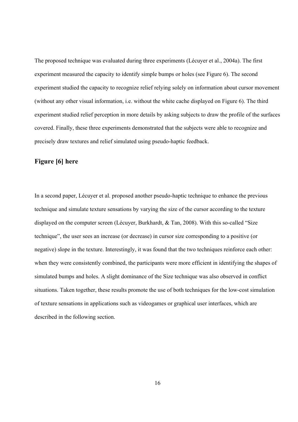The proposed technique was evaluated during three experiments (Lécuyer et al., 2004a). The first experiment measured the capacity to identify simple bumps or holes (see Figure 6). The second experiment studied the capacity to recognize relief relying solely on information about cursor movement (without any other visual information, i.e. without the white cache displayed on Figure 6). The third experiment studied relief perception in more details by asking subjects to draw the profile of the surfaces covered. Finally, these three experiments demonstrated that the subjects were able to recognize and precisely draw textures and relief simulated using pseudo-haptic feedback.

## **Figure [6] here**

In a second paper, Lécuyer et al. proposed another pseudo-haptic technique to enhance the previous technique and simulate texture sensations by varying the size of the cursor according to the texture displayed on the computer screen (Lécuyer, Burkhardt, & Tan, 2008). With this so-called "Size technique", the user sees an increase (or decrease) in cursor size corresponding to a positive (or negative) slope in the texture. Interestingly, it was found that the two techniques reinforce each other: when they were consistently combined, the participants were more efficient in identifying the shapes of simulated bumps and holes. A slight dominance of the Size technique was also observed in conflict situations. Taken together, these results promote the use of both techniques for the low-cost simulation of texture sensations in applications such as videogames or graphical user interfaces, which are described in the following section.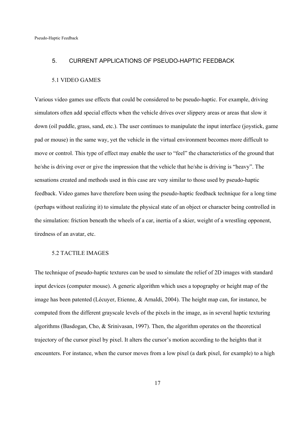#### 5. CURRENT APPLICATIONS OF PSEUDO-HAPTIC FEEDBACK

#### 5.1 VIDEO GAMES

Various video games use effects that could be considered to be pseudo-haptic. For example, driving simulators often add special effects when the vehicle drives over slippery areas or areas that slow it down (oil puddle, grass, sand, etc.). The user continues to manipulate the input interface (joystick, game pad or mouse) in the same way, yet the vehicle in the virtual environment becomes more difficult to move or control. This type of effect may enable the user to "feel" the characteristics of the ground that he/she is driving over or give the impression that the vehicle that he/she is driving is "heavy". The sensations created and methods used in this case are very similar to those used by pseudo-haptic feedback. Video games have therefore been using the pseudo-haptic feedback technique for a long time (perhaps without realizing it) to simulate the physical state of an object or character being controlled in the simulation: friction beneath the wheels of a car, inertia of a skier, weight of a wrestling opponent, tiredness of an avatar, etc.

#### 5.2 TACTILE IMAGES

The technique of pseudo-haptic textures can be used to simulate the relief of 2D images with standard input devices (computer mouse). A generic algorithm which uses a topography or height map of the image has been patented (Lécuyer, Etienne, & Arnaldi, 2004). The height map can, for instance, be computed from the different grayscale levels of the pixels in the image, as in several haptic texturing algorithms (Basdogan, Cho, & Srinivasan, 1997). Then, the algorithm operates on the theoretical trajectory of the cursor pixel by pixel. It alters the cursor's motion according to the heights that it encounters. For instance, when the cursor moves from a low pixel (a dark pixel, for example) to a high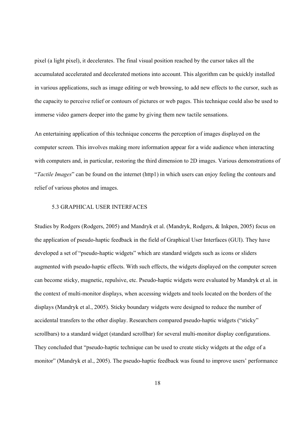pixel (a light pixel), it decelerates. The final visual position reached by the cursor takes all the accumulated accelerated and decelerated motions into account. This algorithm can be quickly installed in various applications, such as image editing or web browsing, to add new effects to the cursor, such as the capacity to perceive relief or contours of pictures or web pages. This technique could also be used to immerse video gamers deeper into the game by giving them new tactile sensations.

An entertaining application of this technique concerns the perception of images displayed on the computer screen. This involves making more information appear for a wide audience when interacting with computers and, in particular, restoring the third dimension to 2D images. Various demonstrations of "*Tactile Images*" can be found on the internet (http1) in which users can enjoy feeling the contours and relief of various photos and images.

#### 5.3 GRAPHICAL USER INTERFACES

Studies by Rodgers (Rodgers, 2005) and Mandryk et al. (Mandryk, Rodgers, & Inkpen, 2005) focus on the application of pseudo-haptic feedback in the field of Graphical User Interfaces (GUI). They have developed a set of "pseudo-haptic widgets" which are standard widgets such as icons or sliders augmented with pseudo-haptic effects. With such effects, the widgets displayed on the computer screen can become sticky, magnetic, repulsive, etc. Pseudo-haptic widgets were evaluated by Mandryk et al. in the context of multi-monitor displays, when accessing widgets and tools located on the borders of the displays (Mandryk et al., 2005). Sticky boundary widgets were designed to reduce the number of accidental transfers to the other display. Researchers compared pseudo-haptic widgets ("sticky" scrollbars) to a standard widget (standard scrollbar) for several multi-monitor display configurations. They concluded that "pseudo-haptic technique can be used to create sticky widgets at the edge of a monitor" (Mandryk et al., 2005). The pseudo-haptic feedback was found to improve users' performance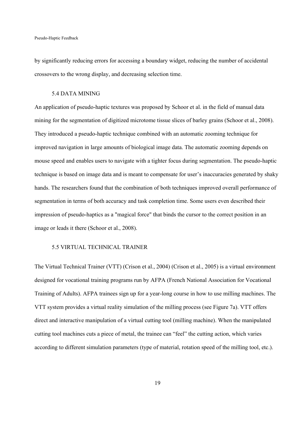by significantly reducing errors for accessing a boundary widget, reducing the number of accidental crossovers to the wrong display, and decreasing selection time.

#### 5.4 DATA MINING

An application of pseudo-haptic textures was proposed by Schoor et al. in the field of manual data mining for the segmentation of digitized microtome tissue slices of barley grains (Schoor et al., 2008). They introduced a pseudo-haptic technique combined with an automatic zooming technique for improved navigation in large amounts of biological image data. The automatic zooming depends on mouse speed and enables users to navigate with a tighter focus during segmentation. The pseudo-haptic technique is based on image data and is meant to compensate for user's inaccuracies generated by shaky hands. The researchers found that the combination of both techniques improved overall performance of segmentation in terms of both accuracy and task completion time. Some users even described their impression of pseudo-haptics as a "magical force" that binds the cursor to the correct position in an image or leads it there (Schoor et al., 2008).

#### 5.5 VIRTUAL TECHNICAL TRAINER

The Virtual Technical Trainer (VTT) (Crison et al., 2004) (Crison et al., 2005) is a virtual environment designed for vocational training programs run by AFPA (French National Association for Vocational Training of Adults). AFPA trainees sign up for a year-long course in how to use milling machines. The VTT system provides a virtual reality simulation of the milling process (see Figure 7a). VTT offers direct and interactive manipulation of a virtual cutting tool (milling machine). When the manipulated cutting tool machines cuts a piece of metal, the trainee can "feel" the cutting action, which varies according to different simulation parameters (type of material, rotation speed of the milling tool, etc.).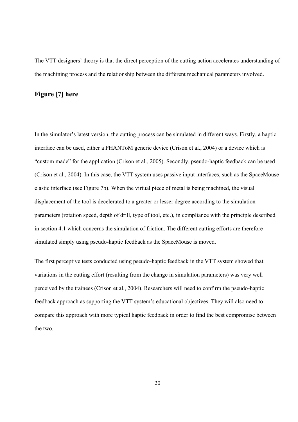The VTT designers' theory is that the direct perception of the cutting action accelerates understanding of the machining process and the relationship between the different mechanical parameters involved.

## **Figure [7] here**

In the simulator's latest version, the cutting process can be simulated in different ways. Firstly, a haptic interface can be used, either a PHANToM generic device (Crison et al., 2004) or a device which is "custom made" for the application (Crison et al., 2005). Secondly, pseudo-haptic feedback can be used (Crison et al., 2004). In this case, the VTT system uses passive input interfaces, such as the SpaceMouse elastic interface (see Figure 7b). When the virtual piece of metal is being machined, the visual displacement of the tool is decelerated to a greater or lesser degree according to the simulation parameters (rotation speed, depth of drill, type of tool, etc.), in compliance with the principle described in section 4.1 which concerns the simulation of friction. The different cutting efforts are therefore simulated simply using pseudo-haptic feedback as the SpaceMouse is moved.

The first perceptive tests conducted using pseudo-haptic feedback in the VTT system showed that variations in the cutting effort (resulting from the change in simulation parameters) was very well perceived by the trainees (Crison et al., 2004). Researchers will need to confirm the pseudo-haptic feedback approach as supporting the VTT system's educational objectives. They will also need to compare this approach with more typical haptic feedback in order to find the best compromise between the two.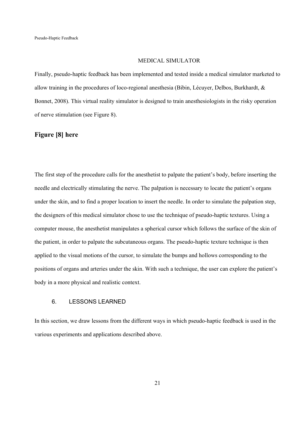#### MEDICAL SIMULATOR

Finally, pseudo-haptic feedback has been implemented and tested inside a medical simulator marketed to allow training in the procedures of loco-regional anesthesia (Bibin, Lécuyer, Delbos, Burkhardt, & Bonnet, 2008). This virtual reality simulator is designed to train anesthesiologists in the risky operation of nerve stimulation (see Figure 8).

## **Figure [8] here**

The first step of the procedure calls for the anesthetist to palpate the patient's body, before inserting the needle and electrically stimulating the nerve. The palpation is necessary to locate the patient's organs under the skin, and to find a proper location to insert the needle. In order to simulate the palpation step, the designers of this medical simulator chose to use the technique of pseudo-haptic textures. Using a computer mouse, the anesthetist manipulates a spherical cursor which follows the surface of the skin of the patient, in order to palpate the subcutaneous organs. The pseudo-haptic texture technique is then applied to the visual motions of the cursor, to simulate the bumps and hollows corresponding to the positions of organs and arteries under the skin. With such a technique, the user can explore the patient's body in a more physical and realistic context.

## 6. LESSONS LEARNED

In this section, we draw lessons from the different ways in which pseudo-haptic feedback is used in the various experiments and applications described above.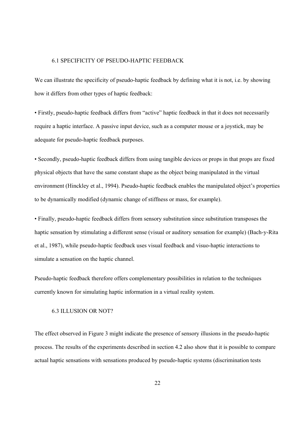#### 6.1 SPECIFICITY OF PSEUDO-HAPTIC FEEDBACK

We can illustrate the specificity of pseudo-haptic feedback by defining what it is not, i.e. by showing how it differs from other types of haptic feedback:

• Firstly, pseudo-haptic feedback differs from "active" haptic feedback in that it does not necessarily require a haptic interface. A passive input device, such as a computer mouse or a joystick, may be adequate for pseudo-haptic feedback purposes.

• Secondly, pseudo-haptic feedback differs from using tangible devices or props in that props are fixed physical objects that have the same constant shape as the object being manipulated in the virtual environment (Hinckley et al., 1994). Pseudo-haptic feedback enables the manipulated object's properties to be dynamically modified (dynamic change of stiffness or mass, for example).

• Finally, pseudo-haptic feedback differs from sensory substitution since substitution transposes the haptic sensation by stimulating a different sense (visual or auditory sensation for example) (Bach-y-Rita et al., 1987), while pseudo-haptic feedback uses visual feedback and visuo-haptic interactions to simulate a sensation on the haptic channel.

Pseudo-haptic feedback therefore offers complementary possibilities in relation to the techniques currently known for simulating haptic information in a virtual reality system.

## 6.3 ILLUSION OR NOT?

The effect observed in Figure 3 might indicate the presence of sensory illusions in the pseudo-haptic process. The results of the experiments described in section 4.2 also show that it is possible to compare actual haptic sensations with sensations produced by pseudo-haptic systems (discrimination tests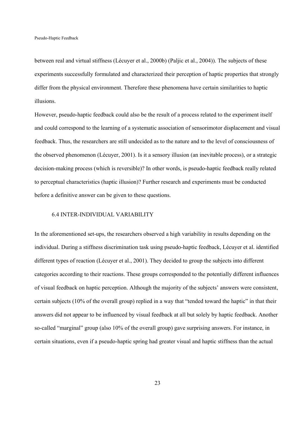between real and virtual stiffness (Lécuyer et al., 2000b) (Paljic et al., 2004)). The subjects of these experiments successfully formulated and characterized their perception of haptic properties that strongly differ from the physical environment. Therefore these phenomena have certain similarities to haptic illusions.

However, pseudo-haptic feedback could also be the result of a process related to the experiment itself and could correspond to the learning of a systematic association of sensorimotor displacement and visual feedback. Thus, the researchers are still undecided as to the nature and to the level of consciousness of the observed phenomenon (Lécuyer, 2001). Is it a sensory illusion (an inevitable process), or a strategic decision-making process (which is reversible)? In other words, is pseudo-haptic feedback really related to perceptual characteristics (haptic illusion)? Further research and experiments must be conducted before a definitive answer can be given to these questions.

#### 6.4 INTER-INDIVIDUAL VARIABILITY

In the aforementioned set-ups, the researchers observed a high variability in results depending on the individual. During a stiffness discrimination task using pseudo-haptic feedback, Lécuyer et al. identified different types of reaction (Lécuyer et al., 2001). They decided to group the subjects into different categories according to their reactions. These groups corresponded to the potentially different influences of visual feedback on haptic perception. Although the majority of the subjects' answers were consistent, certain subjects (10% of the overall group) replied in a way that "tended toward the haptic" in that their answers did not appear to be influenced by visual feedback at all but solely by haptic feedback. Another so-called "marginal" group (also 10% of the overall group) gave surprising answers. For instance, in certain situations, even if a pseudo-haptic spring had greater visual and haptic stiffness than the actual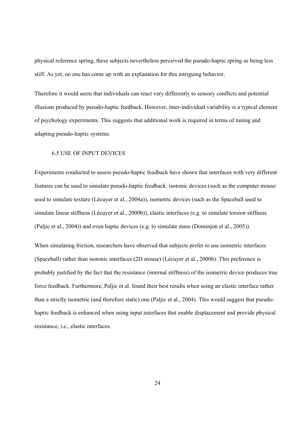physical reference spring, these subjects nevertheless perceived the pseudo-haptic spring as being less stiff. As yet, no one has come up with an explanation for this intriguing behavior.

Therefore it would seem that individuals can react very differently to sensory conflicts and potential illusions produced by pseudo-haptic feedback. However, inter-individual variability is a typical element of psychology experiments. This suggests that additional work is required in terms of tuning and adapting pseudo-haptic systems.

#### 6.5 USE OF INPUT DEVICES

Experiments conducted to assess pseudo-haptic feedback have shown that interfaces with very different features can be used to simulate pseudo-haptic feedback: isotonic devices (such as the computer mouse used to simulate texture (Lécuyer et al., 2004a)), isometric devices (such as the Spaceball used to simulate linear stiffness (Lécuyer et al., 2000b)), elastic interfaces (e.g. to simulate torsion stiffness (Paljic et al., 2004)) and even haptic devices (e.g. to simulate mass (Dominjon et al., 2005)).

When simulating friction, researchers have observed that subjects prefer to use isometric interfaces (Spaceball) rather than isotonic interfaces (2D mouse) (Lécuyer et al., 2000b). This preference is probably justified by the fact that the resistance (internal stiffness) of the isometric device produces true force feedback. Furthermore, Paljic et al. found their best results when using an elastic interface rather than a strictly isometric (and therefore static) one (Paljic et al., 2004). This would suggest that pseudohaptic feedback is enhanced when using input interfaces that enable displacement and provide physical resistance, i.e., elastic interfaces.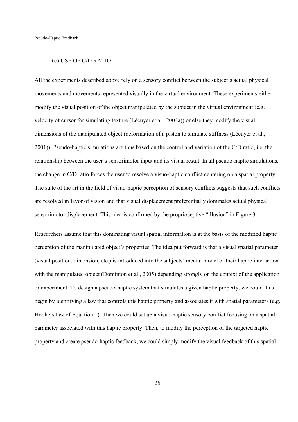#### 6.6 USE OF C/D RATIO

All the experiments described above rely on a sensory conflict between the subject's actual physical movements and movements represented visually in the virtual environment. These experiments either modify the visual position of the object manipulated by the subject in the virtual environment (e.g. velocity of cursor for simulating texture (Lécuyer et al., 2004a)) or else they modify the visual dimensions of the manipulated object (deformation of a piston to simulate stiffness (Lécuyer et al., 2001)). Pseudo-haptic simulations are thus based on the control and variation of the C/D ratio, i.e. the relationship between the user's sensorimotor input and its visual result. In all pseudo-haptic simulations, the change in C/D ratio forces the user to resolve a visuo-haptic conflict centering on a spatial property. The state of the art in the field of visuo-haptic perception of sensory conflicts suggests that such conflicts are resolved in favor of vision and that visual displacement preferentially dominates actual physical sensorimotor displacement. This idea is confirmed by the proprioceptive "illusion" in Figure 3.

Researchers assume that this dominating visual spatial information is at the basis of the modified haptic perception of the manipulated object's properties. The idea put forward is that a visual spatial parameter (visual position, dimension, etc.) is introduced into the subjects' mental model of their haptic interaction with the manipulated object (Dominjon et al., 2005) depending strongly on the context of the application or experiment. To design a pseudo-haptic system that simulates a given haptic property, we could thus begin by identifying a law that controls this haptic property and associates it with spatial parameters (e.g. Hooke's law of Equation 1). Then we could set up a visuo-haptic sensory conflict focusing on a spatial parameter associated with this haptic property. Then, to modify the perception of the targeted haptic property and create pseudo-haptic feedback, we could simply modify the visual feedback of this spatial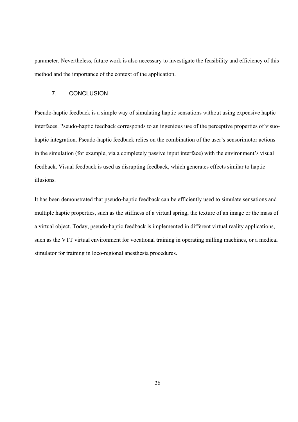parameter. Nevertheless, future work is also necessary to investigate the feasibility and efficiency of this method and the importance of the context of the application.

## 7. CONCLUSION

Pseudo-haptic feedback is a simple way of simulating haptic sensations without using expensive haptic interfaces. Pseudo-haptic feedback corresponds to an ingenious use of the perceptive properties of visuohaptic integration. Pseudo-haptic feedback relies on the combination of the user's sensorimotor actions in the simulation (for example, via a completely passive input interface) with the environment's visual feedback. Visual feedback is used as disrupting feedback, which generates effects similar to haptic illusions.

It has been demonstrated that pseudo-haptic feedback can be efficiently used to simulate sensations and multiple haptic properties, such as the stiffness of a virtual spring, the texture of an image or the mass of a virtual object. Today, pseudo-haptic feedback is implemented in different virtual reality applications, such as the VTT virtual environment for vocational training in operating milling machines, or a medical simulator for training in loco-regional anesthesia procedures.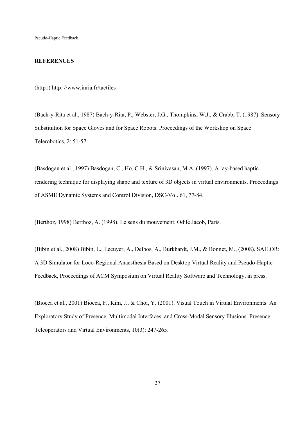#### **REFERENCES**

(http1) http: //www.inria.fr/tactiles

(Bach-y-Rita et al., 1987) Bach-y-Rita, P., Webster, J.G., Thompkins, W.J., & Crabb, T. (1987). Sensory Substitution for Space Gloves and for Space Robots. Proceedings of the Workshop on Space Telerobotics, 2: 51-57.

(Basdogan et al., 1997) Basdogan, C., Ho, C.H., & Srinivasan, M.A. (1997). A ray-based haptic rendering technique for displaying shape and texture of 3D objects in virtual environments. Proceedings of ASME Dynamic Systems and Control Division, DSC-Vol. 61, 77-84.

(Berthoz, 1998) Berthoz, A. (1998). Le sens du mouvement. Odile Jacob, Paris.

(Bibin et al., 2008) Bibin, L., Lécuyer, A., Delbos, A., Burkhardt, J.M., & Bonnet, M., (2008). SAILOR: A 3D Simulator for Loco-Regional Anaesthesia Based on Desktop Virtual Reality and Pseudo-Haptic Feedback, Proceedings of ACM Symposium on Virtual Reality Software and Technology, in press.

(Biocca et al., 2001) Biocca, F., Kim, J., & Choi, Y. (2001). Visual Touch in Virtual Environments: An Exploratory Study of Presence, Multimodal Interfaces, and Cross-Modal Sensory Illusions. Presence: Teleoperators and Virtual Environments, 10(3): 247-265.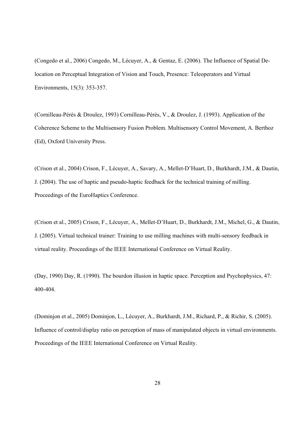(Congedo et al., 2006) Congedo, M., Lécuyer, A., & Gentaz, E. (2006). The Influence of Spatial Delocation on Perceptual Integration of Vision and Touch, Presence: Teleoperators and Virtual Environments, 15(3): 353-357.

(Cornilleau-Pérès & Droulez, 1993) Cornilleau-Pérès, V., & Droulez, J. (1993). Application of the Coherence Scheme to the Multisensory Fusion Problem. Multisensory Control Movement, A. Berthoz (Ed), Oxford University Press.

(Crison et al., 2004) Crison, F., Lécuyer, A., Savary, A., Mellet-D'Huart, D., Burkhardt, J.M., & Dautin, J. (2004). The use of haptic and pseudo-haptic feedback for the technical training of milling. Proceedings of the EuroHaptics Conference.

(Crison et al., 2005) Crison, F., Lécuyer, A., Mellet-D'Huart, D., Burkhardt, J.M., Michel, G., & Dautin, J. (2005). Virtual technical trainer: Training to use milling machines with multi-sensory feedback in virtual reality. Proceedings of the IEEE International Conference on Virtual Reality.

(Day, 1990) Day, R. (1990). The bourdon illusion in haptic space. Perception and Psychophysics, 47: 400-404.

(Dominjon et al., 2005) Dominjon, L., Lécuyer, A., Burkhardt, J.M., Richard, P., & Richir, S. (2005). Influence of control/display ratio on perception of mass of manipulated objects in virtual environments. Proceedings of the IEEE International Conference on Virtual Reality.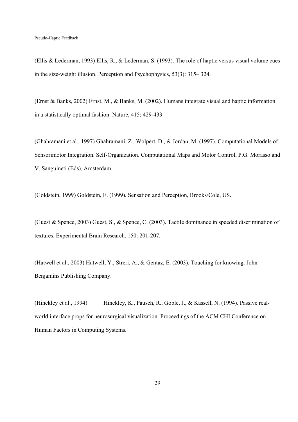(Ellis & Lederman, 1993) Ellis, R., & Lederman, S. (1993). The role of haptic versus visual volume cues in the size-weight illusion. Perception and Psychophysics, 53(3): 315– 324.

(Ernst & Banks, 2002) Ernst, M., & Banks, M. (2002). Humans integrate visual and haptic information in a statistically optimal fashion. Nature, 415: 429-433.

(Ghahramani et al., 1997) Ghahramani, Z., Wolpert, D., & Jordan, M. (1997). Computational Models of Sensorimotor Integration. Self-Organization. Computational Maps and Motor Control, P.G. Morasso and V. Sanguineti (Eds), Amsterdam.

(Goldstein, 1999) Goldstein, E. (1999). Sensation and Perception, Brooks/Cole, US.

(Guest & Spence, 2003) Guest, S., & Spence, C. (2003). Tactile dominance in speeded discrimination of textures. Experimental Brain Research, 150: 201-207.

(Hatwell et al., 2003) Hatwell, Y., Streri, A., & Gentaz, E. (2003). Touching for knowing. John Benjamins Publishing Company.

(Hinckley et al., 1994) Hinckley, K., Pausch, R., Goble, J., & Kassell, N. (1994). Passive realworld interface props for neurosurgical visualization. Proceedings of the ACM CHI Conference on Human Factors in Computing Systems.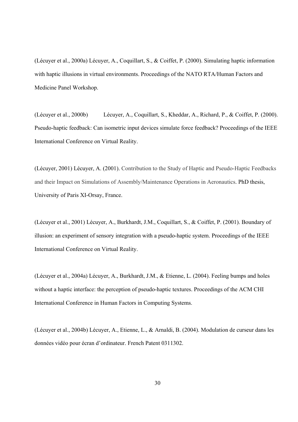(Lécuyer et al., 2000a) Lécuyer, A., Coquillart, S., & Coiffet, P. (2000). Simulating haptic information with haptic illusions in virtual environments. Proceedings of the NATO RTA/Human Factors and Medicine Panel Workshop.

(Lécuyer et al., 2000b) Lécuyer, A., Coquillart, S., Kheddar, A., Richard, P., & Coiffet, P. (2000). Pseudo-haptic feedback: Can isometric input devices simulate force feedback? Proceedings of the IEEE International Conference on Virtual Reality.

(Lécuyer, 2001) Lécuyer, A. (2001). Contribution to the Study of Haptic and Pseudo-Haptic Feedbacks and their Impact on Simulations of Assembly/Maintenance Operations in Aeronautics. PhD thesis, University of Paris XI-Orsay, France.

(Lécuyer et al., 2001) Lécuyer, A., Burkhardt, J.M., Coquillart, S., & Coiffet, P. (2001). Boundary of illusion: an experiment of sensory integration with a pseudo-haptic system. Proceedings of the IEEE International Conference on Virtual Reality.

(Lécuyer et al., 2004a) Lécuyer, A., Burkhardt, J.M., & Etienne, L. (2004). Feeling bumps and holes without a haptic interface: the perception of pseudo-haptic textures. Proceedings of the ACM CHI International Conference in Human Factors in Computing Systems.

(Lécuyer et al., 2004b) Lécuyer, A., Etienne, L., & Arnaldi, B. (2004). Modulation de curseur dans les données vidéo pour écran d'ordinateur. French Patent 0311302.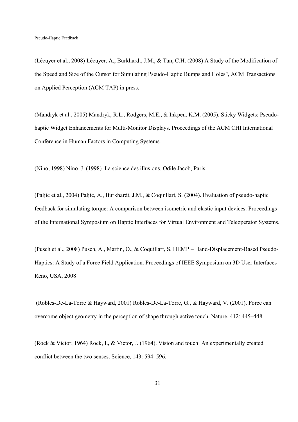(Lécuyer et al., 2008) Lécuyer, A., Burkhardt, J.M., & Tan, C.H. (2008) A Study of the Modification of the Speed and Size of the Cursor for Simulating Pseudo-Haptic Bumps and Holes", ACM Transactions on Applied Perception (ACM TAP) in press.

(Mandryk et al., 2005) Mandryk, R.L., Rodgers, M.E., & Inkpen, K.M. (2005). Sticky Widgets: Pseudohaptic Widget Enhancements for Multi-Monitor Displays. Proceedings of the ACM CHI International Conference in Human Factors in Computing Systems.

(Nino, 1998) Nino, J. (1998). La science des illusions. Odile Jacob, Paris.

(Paljic et al., 2004) Paljic, A., Burkhardt, J.M., & Coquillart, S. (2004). Evaluation of pseudo-haptic feedback for simulating torque: A comparison between isometric and elastic input devices. Proceedings of the International Symposium on Haptic Interfaces for Virtual Environment and Teleoperator Systems.

(Pusch et al., 2008) Pusch, A., Martin, O., & Coquillart, S. HEMP – Hand-Displacement-Based Pseudo-Haptics: A Study of a Force Field Application. Proceedings of IEEE Symposium on 3D User Interfaces Reno, USA, 2008

 (Robles-De-La-Torre & Hayward, 2001) Robles-De-La-Torre, G., & Hayward, V. (2001). Force can overcome object geometry in the perception of shape through active touch. Nature, 412: 445–448.

(Rock & Victor, 1964) Rock, I., & Victor, J. (1964). Vision and touch: An experimentally created conflict between the two senses. Science, 143: 594–596.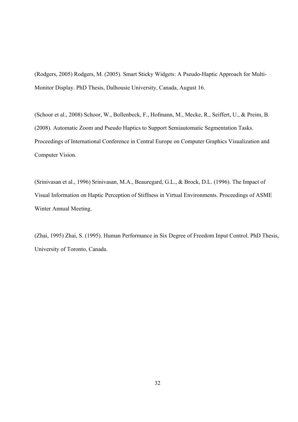(Rodgers, 2005) Rodgers, M. (2005). Smart Sticky Widgets: A Pseudo-Haptic Approach for Multi-Monitor Display. PhD Thesis, Dalhousie University, Canada, August 16.

(Schoor et al., 2008) Schoor, W., Bollenbeck, F., Hofmann, M., Mecke, R., Seiffert, U., & Preim, B. (2008). Automatic Zoom and Pseudo Haptics to Support Semiautomatic Segmentation Tasks. Proceedings of International Conference in Central Europe on Computer Graphics Visualization and Computer Vision.

(Srinivasan et al., 1996) Srinivasan, M.A., Beauregard, G.L., & Brock, D.L. (1996). The Impact of Visual Information on Haptic Perception of Stiffness in Virtual Environments. Proceedings of ASME Winter Annual Meeting.

(Zhai, 1995) Zhai, S. (1995). Human Performance in Six Degree of Freedom Input Control. PhD Thesis, University of Toronto, Canada.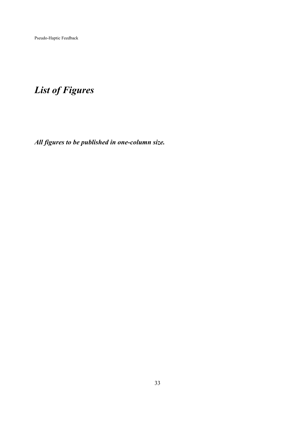## *List of Figures*

*All figures to be published in one-column size.*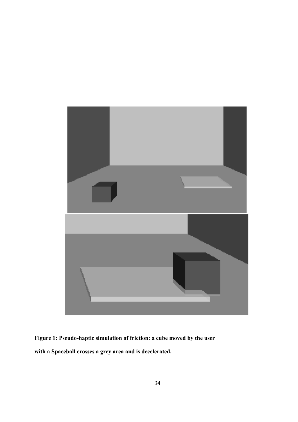

**Figure 1: Pseudo-haptic simulation of friction: a cube moved by the user with a Spaceball crosses a grey area and is decelerated.**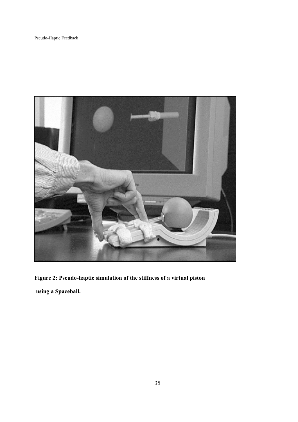

**Figure 2: Pseudo-haptic simulation of the stiffness of a virtual piston using a Spaceball.**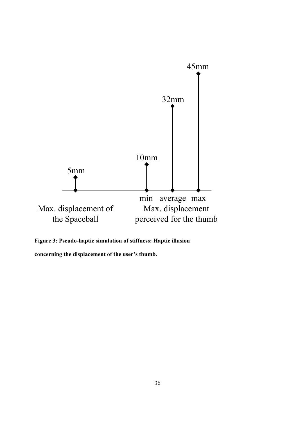

**Figure 3: Pseudo-haptic simulation of stiffness: Haptic illusion** 

**concerning the displacement of the user's thumb.**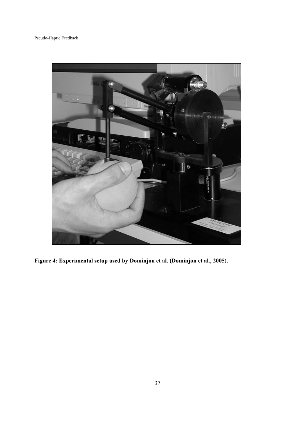

**Figure 4: Experimental setup used by Dominjon et al. (Dominjon et al., 2005).**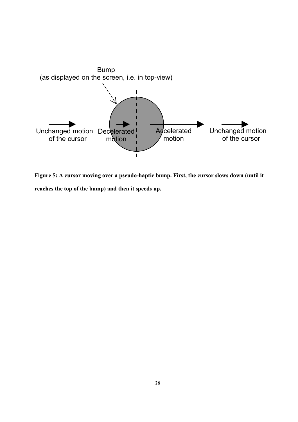

**Figure 5: A cursor moving over a pseudo-haptic bump. First, the cursor slows down (until it reaches the top of the bump) and then it speeds up.**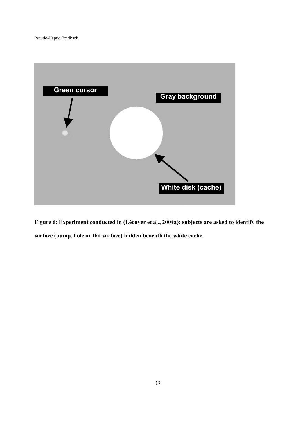

**Figure 6: Experiment conducted in (Lécuyer et al., 2004a): subjects are asked to identify the surface (bump, hole or flat surface) hidden beneath the white cache.**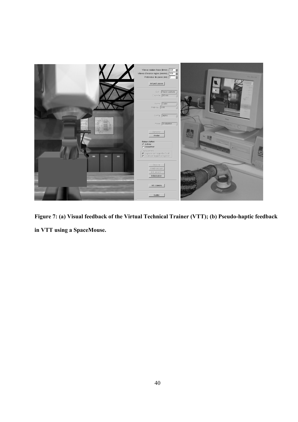

**Figure 7: (a) Visual feedback of the Virtual Technical Trainer (VTT); (b) Pseudo-haptic feedback in VTT using a SpaceMouse.**